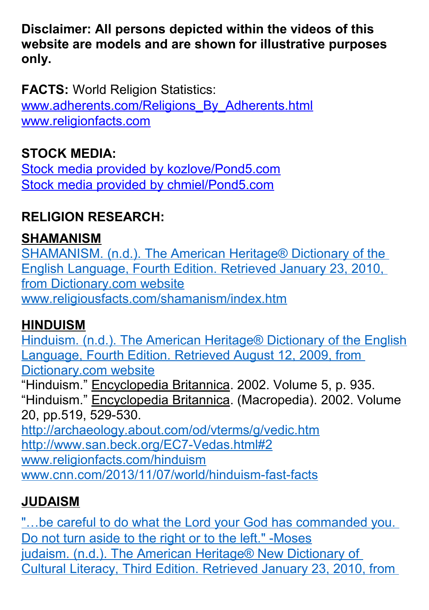**Disclaimer: All persons depicted within the videos of this website are models and are shown for illustrative purposes only.**

**FACTS:** World Religion Statistics: [www.adherents.com/Religions\\_By\\_Adherents.html](http://www.adherents.com/Religions_By_Adherents.html) [www.religionfacts.com](http://www.religionfacts.com/)

#### **STOCK MEDIA:**

[Stock media provided by kozlove/Pond5.com](https://www.pond5.com/stock-footage/10563967/loopable-line-energy-element-spectral-colors.html) [Stock media provided by chmiel/Pond5.com](https://www.pond5.com/stock-footage/8614973/people-north-america.html)

#### **RELIGION RESEARCH:**

#### **SHAMANISM**

[SHAMANISM. \(n.d.\). The American Heritage® Dictionary of the](http://dictionary.reference.com/browse/SHAMANISM)  [English Language, Fourth Edition. Retrieved January 23, 2010,](http://dictionary.reference.com/browse/SHAMANISM)  [from Dictionary.com website](http://dictionary.reference.com/browse/SHAMANISM) [www.religiousfacts.com/shamanism/index.htm](http://www.religiousfacts.com/shamanism/index.htm)

#### **HINDUISM**

[Hinduism. \(n.d.\). The American Heritage® Dictionary of the English](http://dictionary.reference.com/browse/Hinduism) [Language, Fourth Edition. Retrieved August 12, 2009, from](http://dictionary.reference.com/browse/Hinduism)  [Dictionary.com website](http://dictionary.reference.com/browse/Hinduism) "Hinduism." Encyclopedia Britannica. 2002. Volume 5, p. 935. "Hinduism." Encyclopedia Britannica. (Macropedia). 2002. Volume 20, pp.519, 529-530. <http://archaeology.about.com/od/vterms/g/vedic.htm> [http://www.san.beck.org/EC7-Vedas.html#2](http://www.san.beck.org/EC7-Vedas.html%232) [www.religionfacts.com/hinduism](http://www.religionfacts.com/hinduism) [www.cnn.com/2013/11/07/world/hinduism-fast-facts](http://www.cnn.com/2013/11/07/world/hinduism-fast-facts/)

#### **JUDAISM**

"...be careful to do what the Lord your God has commanded you. [Do not turn aside to the right or to the left." -Moses](http://www.biblegateway.com/passage/?search=Deuteronomy%205%3A32&version=NIV) [judaism. \(n.d.\). The American Heritage® New Dictionary of](http://dictionary.reference.com/browse/judaism)  [Cultural Literacy, Third Edition. Retrieved January 23, 2010, from](http://dictionary.reference.com/browse/judaism)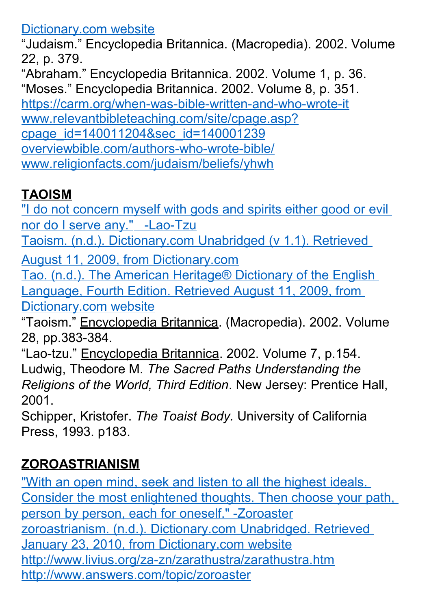#### [Dictionary.com website](http://dictionary.reference.com/browse/judaism)

"Judaism." Encyclopedia Britannica. (Macropedia). 2002. Volume 22, p. 379.

"Abraham." Encyclopedia Britannica. 2002. Volume 1, p. 36. "Moses." Encyclopedia Britannica. 2002. Volume 8, p. 351. <https://carm.org/when-was-bible-written-and-who-wrote-it> [www.relevantbibleteaching.com/site/cpage.asp?](http://www.relevantbibleteaching.com/site/cpage.asp?cpage_id=140011204&sec_id=140001239) [cpage\\_id=140011204&sec\\_id=140001239](http://www.relevantbibleteaching.com/site/cpage.asp?cpage_id=140011204&sec_id=140001239) [overviewbible.com/authors-who-wrote-bible/](http://overviewbible.com/authors-who-wrote-bible/) [www.religionfacts.com/judaism/beliefs/yhwh](http://www.religionfacts.com/judaism/beliefs/yhwh)

### **TAOISM**

"I do not concern myself with gods and spirits either good or evil  [nor do I serve any." -Lao-Tzu](http://www.brainyquote.com/quotes/quotes/l/laotzu385510.html)

[Taoism. \(n.d.\). Dictionary.com Unabridged \(v 1.1\). Retrieved](http://dictionary.reference.com/browse/Taoism) 

[August 11, 2009, from Dictionary.com](http://dictionary.reference.com/browse/Taoism)

[Tao. \(n.d.\). The American Heritage® Dictionary of the English](http://dictionary.reference.com/browse/Taoism)  [Language, Fourth Edition. Retrieved August 11, 2009, from](http://dictionary.reference.com/browse/Taoism)  [Dictionary.com website](http://dictionary.reference.com/browse/Taoism)

"Taoism." Encyclopedia Britannica. (Macropedia). 2002. Volume 28, pp.383-384.

"Lao-tzu." Encyclopedia Britannica. 2002. Volume 7, p.154. Ludwig, Theodore M. *The Sacred Paths Understanding the Religions of the World, Third Edition*. New Jersey: Prentice Hall, 2001.

Schipper, Kristofer. *The Toaist Body.* University of California Press, 1993. p183.

# **ZOROASTRIANISM**

["With an open mind, seek and listen to all the highest ideals.](http://www.inspiringquotes.us/author/4715-zoroaster)  [Consider the most enlightened thoughts. Then choose your path,](http://www.inspiringquotes.us/author/4715-zoroaster)  [person by person, each for oneself." -Zoroaster](http://www.inspiringquotes.us/author/4715-zoroaster) [zoroastrianism. \(n.d.\). Dictionary.com Unabridged. Retrieved](http://dictionary.reference.com/browse/zoroastrianism)  [January 23, 2010, from Dictionary.com website](http://dictionary.reference.com/browse/zoroastrianism) <http://www.livius.org/za-zn/zarathustra/zarathustra.htm> <http://www.answers.com/topic/zoroaster>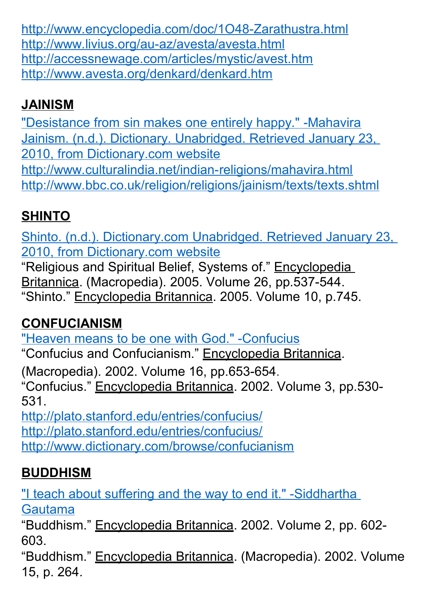<http://www.encyclopedia.com/doc/1O48-Zarathustra.html> <http://www.livius.org/au-az/avesta/avesta.html> <http://accessnewage.com/articles/mystic/avest.htm> <http://www.avesta.org/denkard/denkard.htm>

# **JAINISM**

["Desistance from sin makes one entirely happy." -Mahavira](http://www.quotes.yourdictionary.com/author/mahavira/79546) [Jainism. \(n.d.\). Dictionary. Unabridged. Retrieved January 23,](http://dictionary.reference.com/browse/Jainism)  [2010, from Dictionary.com website](http://dictionary.reference.com/browse/Jainism) <http://www.culturalindia.net/indian-religions/mahavira.html> <http://www.bbc.co.uk/religion/religions/jainism/texts/texts.shtml>

# **SHINTO**

[Shinto. \(n.d.\). Dictionary.com Unabridged. Retrieved January 23,](http://dictionary.reference.com/browse/Shinto)  [2010, from Dictionary.com website](http://dictionary.reference.com/browse/Shinto)

"Religious and Spiritual Belief, Systems of." Encyclopedia Britannica. (Macropedia). 2005. Volume 26, pp.537-544. "Shinto." Encyclopedia Britannica. 2005. Volume 10, p.745.

# **CONFUCIANISM**

["Heaven means to be one with God." -Confucius](http://www.brainyquote.com/quotes/quotes/c/confucius118200.html)

"Confucius and Confucianism." Encyclopedia Britannica.

(Macropedia). 2002. Volume 16, pp.653-654.

"Confucius." Encyclopedia Britannica. 2002. Volume 3, pp.530- 531.

<http://plato.stanford.edu/entries/confucius/> <http://plato.stanford.edu/entries/confucius/> <http://www.dictionary.com/browse/confucianism>

# **BUDDHISM**

["I teach about suffering and the way to end it." -Siddhartha](http://www.viewonbuddhism.org/4_noble_truths.html)  [Gautama](http://www.viewonbuddhism.org/4_noble_truths.html)

"Buddhism." Encyclopedia Britannica. 2002. Volume 2, pp. 602- 603.

"Buddhism." Encyclopedia Britannica. (Macropedia). 2002. Volume 15, p. 264.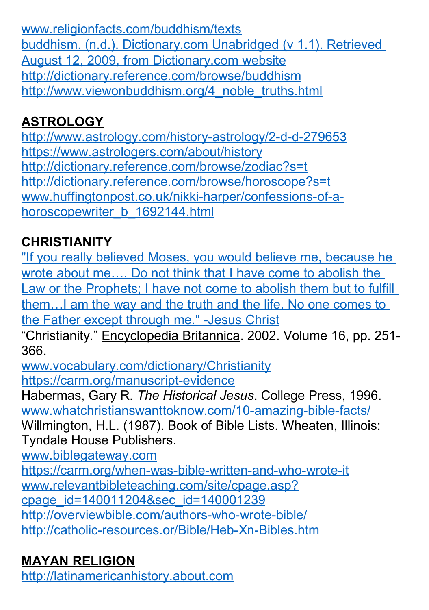[www.religionfacts.com/buddhism/texts](http://www.religionfacts.com/buddhism/texts) [buddhism. \(n.d.\). Dictionary.com Unabridged \(v 1.1\). Retrieved](http://dictionary.reference.com/browse/buddhism)  [August 12, 2009, from Dictionary.com website](http://dictionary.reference.com/browse/buddhism) <http://dictionary.reference.com/browse/buddhism> [http://www.viewonbuddhism.org/4\\_noble\\_truths.html](http://www.viewonbuddhism.org/4_noble_truths.html)

### **ASTROLOGY**

<http://www.astrology.com/history-astrology/2-d-d-279653> <https://www.astrologers.com/about/history> <http://dictionary.reference.com/browse/zodiac?s=t> <http://dictionary.reference.com/browse/horoscope?s=t> [www.huffingtonpost.co.uk/nikki-harper/confessions-of-a](http://www.huffingtonpost.co.uk/nikki-harper/confessions-of-a-horoscopewriter_b_1692144.html)[horoscopewriter\\_b\\_1692144.html](http://www.huffingtonpost.co.uk/nikki-harper/confessions-of-a-horoscopewriter_b_1692144.html)

# **CHRISTIANITY**

"If you really believed Moses, you would believe me, because he wrote about me…. Do not think that I have come to abolish the [Law or the Prophets; I have not come to abolish them but to fulfill](https://www.biblegateway.com/passage/?search=John+5%3A46%2C+Matt+5%3A17%2C+John+14%3A6&version=NIV)  them…I am the way and the truth and the life. No one comes to [the Father except through me." -Jesus Christ](https://www.biblegateway.com/passage/?search=John+5%3A46%2C+Matt+5%3A17%2C+John+14%3A6&version=NIV)

"Christianity." Encyclopedia Britannica. 2002. Volume 16, pp. 251- 366.

[www.vocabulary.com/dictionary/Christianity](http://www.vocabulary.com/dictionary/Christianity) <https://carm.org/manuscript-evidence>

Habermas, Gary R. *The Historical Jesus*. College Press, 1996. [www.whatchristianswanttoknow.com/10-amazing-bible-facts/](http://www.whatchristianswanttoknow.com/10-amazing-bible-facts/) Willmington, H.L. (1987). Book of Bible Lists. Wheaten, Illinois: Tyndale House Publishers.

[www.biblegateway.com](http://www.biblegateway.com/)

<https://carm.org/when-was-bible-written-and-who-wrote-it> [www.relevantbibleteaching.com/site/cpage.asp?](http://www.relevantbibleteaching.com/site/cpage.asp?cpage_id=140011204&sec_id=140001239) [cpage\\_id=140011204&sec\\_id=140001239](http://www.relevantbibleteaching.com/site/cpage.asp?cpage_id=140011204&sec_id=140001239) <http://overviewbible.com/authors-who-wrote-bible/> <http://catholic-resources.or/Bible/Heb-Xn-Bibles.htm>

# **MAYAN RELIGION**

[http://latinamericanhistory.about.com](http://latinamericanhistory.about.com/)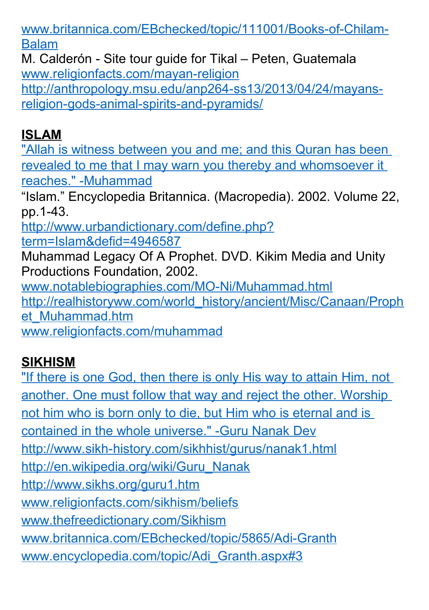[www.britannica.com/EBchecked/topic/111001/Books-of-Chilam-](http://www.britannica.com/EBchecked/topic/111001/Books-of-Chilam-Balam)[Balam](http://www.britannica.com/EBchecked/topic/111001/Books-of-Chilam-Balam)

M. Calderón - Site tour guide for Tikal – Peten, Guatemala [www.religionfacts.com/mayan-religion](http://www.religionfacts.com/mayan-religion) [http://anthropology.msu.edu/anp264-ss13/2013/04/24/mayans](http://anthropology.msu.edu/anp264-ss13/2013/04/24/mayans-religion-gods-animal-spirits-and-pyramids/)[religion-gods-animal-spirits-and-pyramids/](http://anthropology.msu.edu/anp264-ss13/2013/04/24/mayans-religion-gods-animal-spirits-and-pyramids/)

#### **ISLAM**

["Allah is witness between you and me; and this Quran has been](http://corpus.quran.com/translation.jsp?chapter=6&verse=19)  [revealed to me that I may warn you thereby and whomsoever it](http://corpus.quran.com/translation.jsp?chapter=6&verse=19)  [reaches." -Muhammad](http://corpus.quran.com/translation.jsp?chapter=6&verse=19)

"Islam." Encyclopedia Britannica. (Macropedia). 2002. Volume 22, pp.1-43.

[http://www.urbandictionary.com/define.php?](http://www.urbandictionary.com/define.php?term=Islam&defid=4946587) [term=Islam&defid=4946587](http://www.urbandictionary.com/define.php?term=Islam&defid=4946587)

Muhammad Legacy Of A Prophet. DVD. Kikim Media and Unity Productions Foundation, 2002.

[www.notablebiographies.com/MO-Ni/Muhammad.html](http://www.notablebiographies.com/MO-Ni/Muhammad.html)

[http://realhistoryww.com/world\\_history/ancient/Misc/Canaan/Proph](http://realhistoryww.com/world_history/ancient/Misc/Canaan/Prophet_Muhammad.htm) [et\\_Muhammad.htm](http://realhistoryww.com/world_history/ancient/Misc/Canaan/Prophet_Muhammad.htm)

[www.religionfacts.com/muhammad](http://www.religionfacts.com/muhammad)

# **SIKHISM**

["If there is one God, then there is only His way to attain Him, not](http://www.brainyquote.com/quotes/quotes/g/gurunanak745814.html)  [another. One must follow that way and reject the other. Worship](http://www.brainyquote.com/quotes/quotes/g/gurunanak745814.html)  not him who is born only to die, but Him who is eternal and is [contained in the whole universe." -Guru Nanak Dev](http://www.brainyquote.com/quotes/quotes/g/gurunanak745814.html) <http://www.sikh-history.com/sikhhist/gurus/nanak1.html> [http://en.wikipedia.org/wiki/Guru\\_Nanak](http://en.wikipedia.org/wiki/Guru_Nanak) <http://www.sikhs.org/guru1.htm> [www.religionfacts.com/sikhism/beliefs](http://www.religionfacts.com/sikhism/beliefs) [www.thefreedictionary.com/Sikhism](http://www.thefreedictionary.com/Sikhism) [www.britannica.com/EBchecked/topic/5865/Adi-Granth](http://www.britannica.com/EBchecked/topic/5865/Adi-Granth) [www.encyclopedia.com/topic/Adi\\_Granth.aspx#3](http://www.encyclopedia.com/topic/Adi_Granth.aspx#3)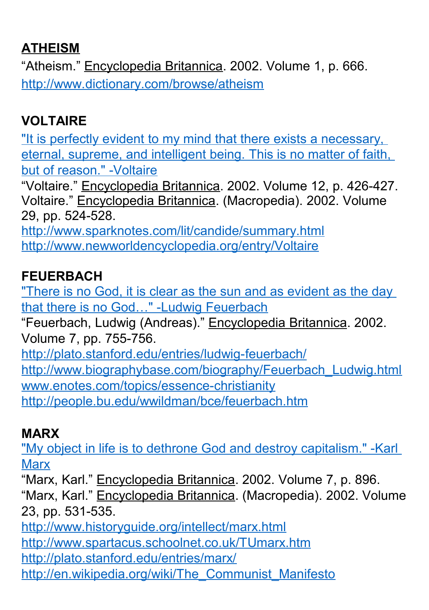#### **ATHEISM**

"Atheism." Encyclopedia Britannica. 2002. Volume 1, p. 666. <http://www.dictionary.com/browse/atheism>

# **VOLTAIRE**

["It is perfectly evident to my mind that there exists a necessary,](http://www.deism.com/voltaire.htm)  [eternal, supreme, and intelligent being. This is no matter of faith,](http://www.deism.com/voltaire.htm)  [but of reason." -Voltaire](http://www.deism.com/voltaire.htm)

"Voltaire." Encyclopedia Britannica. 2002. Volume 12, p. 426-427. Voltaire." Encyclopedia Britannica. (Macropedia). 2002. Volume 29, pp. 524-528.

<http://www.sparknotes.com/lit/candide/summary.html> <http://www.newworldencyclopedia.org/entry/Voltaire>

#### **FEUERBACH**

["There is no God, it is clear as the sun and as evident as the day](http://www.city-data.com/forum/atheism-agnosticism/415105-101-atheist-quotes-10.html)  [that there is no God…" -Ludwig Feuerbach](http://www.city-data.com/forum/atheism-agnosticism/415105-101-atheist-quotes-10.html)

"Feuerbach, Ludwig (Andreas)." Encyclopedia Britannica. 2002. Volume 7, pp. 755-756.

<http://plato.stanford.edu/entries/ludwig-feuerbach/> [http://www.biographybase.com/biography/Feuerbach\\_Ludwig.html](http://www.biographybase.com/biography/Feuerbach_Ludwig.html) [www.enotes.com/topics/essence-christianity](http://www.enotes.com/topics/essence-christianity) <http://people.bu.edu/wwildman/bce/feuerbach.htm>

#### **MARX**

["My object in life is to dethrone God and destroy capitalism." -Karl](http://www.azquotes.com/quote/466849)  **[Marx](http://www.azquotes.com/quote/466849)** 

"Marx, Karl." Encyclopedia Britannica. 2002. Volume 7, p. 896. "Marx, Karl." Encyclopedia Britannica. (Macropedia). 2002. Volume 23, pp. 531-535.

<http://www.historyguide.org/intellect/marx.html> <http://www.spartacus.schoolnet.co.uk/TUmarx.htm> <http://plato.stanford.edu/entries/marx/> [http://en.wikipedia.org/wiki/The\\_Communist\\_Manifesto](http://en.wikipedia.org/wiki/The_Communist_Manifesto)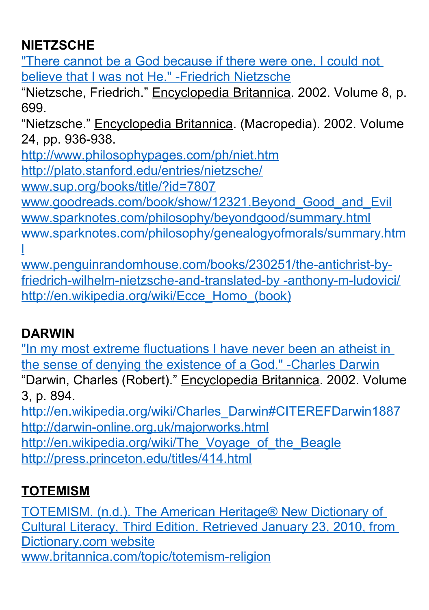### **NIETZSCHE**

["There cannot be a God because if there were one, I could not](http://www.brainyquote.com/quotes/quotes/f/friedrichn137296.html)  [believe that I was not He." -Friedrich Nietzsche](http://www.brainyquote.com/quotes/quotes/f/friedrichn137296.html)

"Nietzsche, Friedrich." Encyclopedia Britannica. 2002. Volume 8, p. 699.

"Nietzsche." Encyclopedia Britannica. (Macropedia). 2002. Volume 24, pp. 936-938.

<http://www.philosophypages.com/ph/niet.htm>

<http://plato.stanford.edu/entries/nietzsche/>

[www.sup.org/books/title/?id=7807](http://www.sup.org/books/title/?id=7807)

[www.goodreads.com/book/show/12321.Beyond\\_Good\\_and\\_Evil](http://www.goodreads.com/book/show/12321.Beyond_Good_and_Evil) [www.sparknotes.com/philosophy/beyondgood/summary.html](http://www.sparknotes.com/philosophy/beyondgood/summary.html) [www.sparknotes.com/philosophy/genealogyofmorals/summary.htm](http://www.sparknotes.com/philosophy/genealogyofmorals/summary.html) [l](http://www.sparknotes.com/philosophy/genealogyofmorals/summary.html)

[www.penguinrandomhouse.com/books/230251/the-antichrist-by](http://www.penguinrandomhouse.com/books/230251/the-antichrist-by-friedrich-wilhelm-nietzsche-and-translated-by%20-anthony-m-ludovici/)[friedrich-wilhelm-nietzsche-and-translated-by -anthony-m-ludovici/](http://www.penguinrandomhouse.com/books/230251/the-antichrist-by-friedrich-wilhelm-nietzsche-and-translated-by%20-anthony-m-ludovici/) [http://en.wikipedia.org/wiki/Ecce\\_Homo\\_\(book\)](http://en.wikipedia.org/wiki/Ecce_Homo_(book))

# **DARWIN**

["In my most extreme fluctuations I have never been an atheist in](http://inters.org/Darwin-God-Evolution)  [the sense of denying the existence of a God." -Charles Darwin](http://inters.org/Darwin-God-Evolution)

"Darwin, Charles (Robert)." Encyclopedia Britannica. 2002. Volume 3, p. 894.

[http://en.wikipedia.org/wiki/Charles\\_Darwin#CITEREFDarwin1887](http://en.wikipedia.org/wiki/Charles_Darwin#CITEREFDarwin1887) <http://darwin-online.org.uk/majorworks.html> http://en.wikipedia.org/wiki/The Voyage of the Beagle <http://press.princeton.edu/titles/414.html>

# **TOTEMISM**

[TOTEMISM. \(n.d.\). The American Heritage® New Dictionary of](http://dictionary.reference.com/browse/TOTEMISM)  [Cultural Literacy, Third Edition. Retrieved January 23, 2010, from](http://dictionary.reference.com/browse/TOTEMISM)  [Dictionary.com website](http://dictionary.reference.com/browse/TOTEMISM) [www.britannica.com/topic/totemism-religion](http://www.britannica.com/topic/totemism-religion)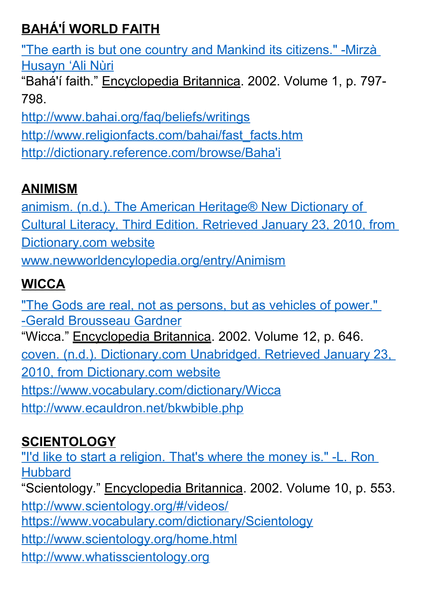# **BAHÁ'Í WORLD FAITH**

["The earth is but one country and Mankind its citizens." -Mirzà](http://bahaifaithquotes.tumblr.com/)  [Husayn 'Ali Nùri](http://bahaifaithquotes.tumblr.com/)

"Bahá'í faith." Encyclopedia Britannica. 2002. Volume 1, p. 797- 798.

<http://www.bahai.org/faq/beliefs/writings>

[http://www.religionfacts.com/bahai/fast\\_facts.htm](http://www.religionfacts.com/bahai/fast_facts.htm)

[http://dictionary.reference.com/browse/Baha'i](http://dictionary.reference.com/browse/Baha)

## **ANIMISM**

[animism. \(n.d.\). The American Heritage® New Dictionary of](http://dictionary.reference.com/browse/animism)  [Cultural Literacy, Third Edition. Retrieved January 23, 2010, from](http://dictionary.reference.com/browse/animism)  [Dictionary.com website](http://dictionary.reference.com/browse/animism) [www.newworldencylopedia.org/entry/Animism](http://www.newworldencylopedia.org/entry/Animism)

# **WICCA**

["The Gods are real, not as persons, but as vehicles of power."](http://theastrarium.tumblr.com/post/107113162381/the-gods-are-real-not-as-persons-but-as)  [-Gerald Brousseau Gardner](http://theastrarium.tumblr.com/post/107113162381/the-gods-are-real-not-as-persons-but-as) "Wicca." Encyclopedia Britannica. 2002. Volume 12, p. 646. [coven. \(n.d.\). Dictionary.com Unabridged. Retrieved January 23,](http://dictionary.reference.com/browse/coven)  [2010, from Dictionary.com website](http://dictionary.reference.com/browse/coven) <https://www.vocabulary.com/dictionary/Wicca> <http://www.ecauldron.net/bkwbible.php>

# **SCIENTOLOGY**

["I'd like to start a religion. That's where the money is." -L. Ron](http://www.azquotes.com/quote/529877)  **[Hubbard](http://www.azquotes.com/quote/529877)** 

"Scientology." Encyclopedia Britannica. 2002. Volume 10, p. 553.

<http://www.scientology.org/#/videos/>

<https://www.vocabulary.com/dictionary/Scientology>

<http://www.scientology.org/home.html>

[http://www.whatisscientology.org](http://www.whatisscientology.org/)